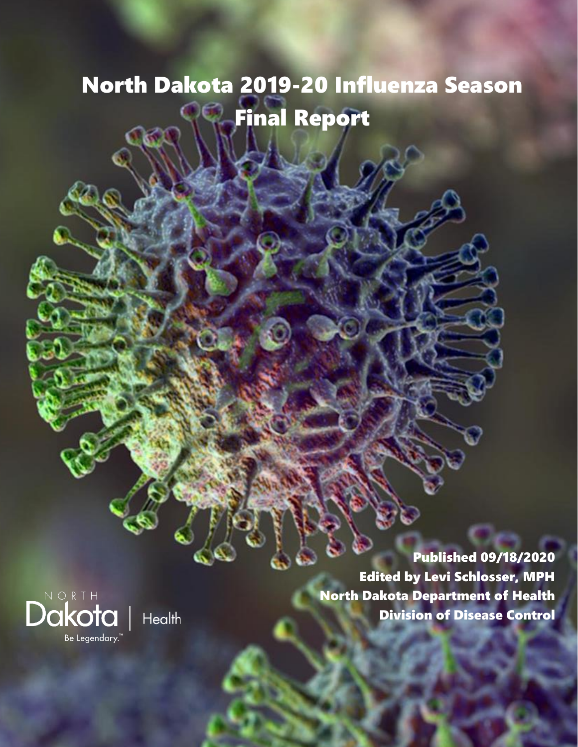# North Dakota 2019-20 Influenza Season Final Report



Published 09/18/2020 Edited by Levi Schlosser, MPH North Dakota Department of Health Division of Disease Control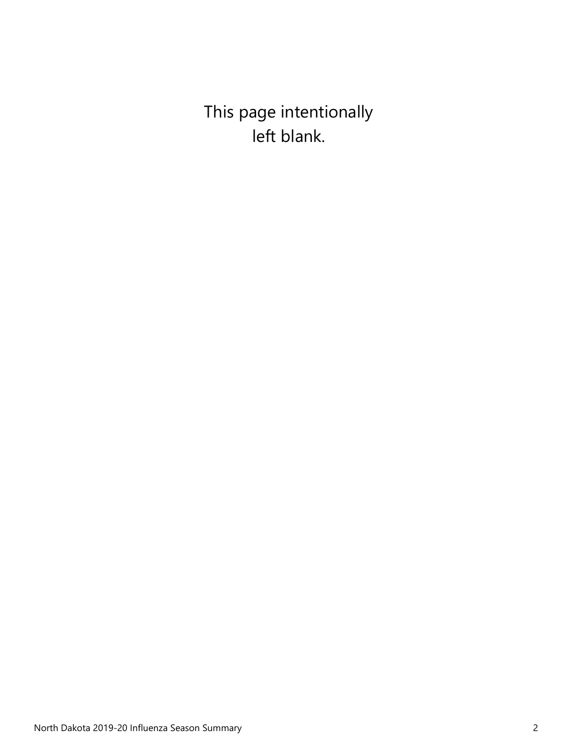This page intentionally left blank.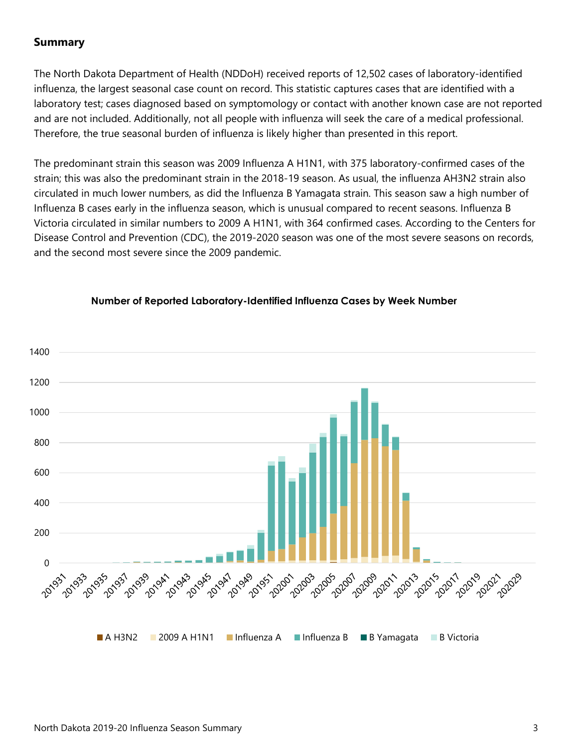# **Summary**

The North Dakota Department of Health (NDDoH) received reports of 12,502 cases of laboratory-identified influenza, the largest seasonal case count on record. This statistic captures cases that are identified with a laboratory test; cases diagnosed based on symptomology or contact with another known case are not reported and are not included. Additionally, not all people with influenza will seek the care of a medical professional. Therefore, the true seasonal burden of influenza is likely higher than presented in this report.

The predominant strain this season was 2009 Influenza A H1N1, with 375 laboratory-confirmed cases of the strain; this was also the predominant strain in the 2018-19 season. As usual, the influenza AH3N2 strain also circulated in much lower numbers, as did the Influenza B Yamagata strain. This season saw a high number of Influenza B cases early in the influenza season, which is unusual compared to recent seasons. Influenza B Victoria circulated in similar numbers to 2009 A H1N1, with 364 confirmed cases. According to the Centers for Disease Control and Prevention (CDC), the 2019-2020 season was one of the most severe seasons on records, and the second most severe since the 2009 pandemic.



#### **Number of Reported Laboratory-Identified Influenza Cases by Week Number**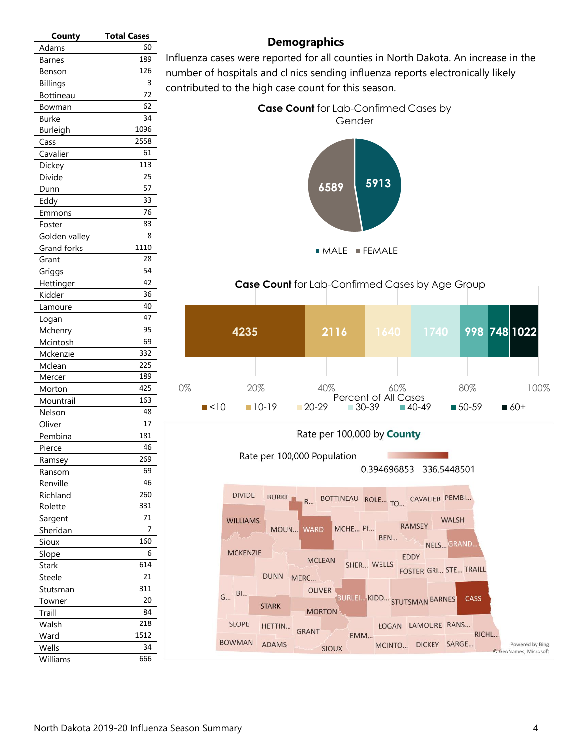| County             | <b>Total Cases</b> |
|--------------------|--------------------|
| Adams              | 60                 |
| <b>Barnes</b>      | 189                |
| Benson             | 126                |
| <b>Billings</b>    | 3                  |
| Bottineau          | 72                 |
| Bowman             | 62                 |
| <b>Burke</b>       | 34                 |
| Burleigh           | 1096               |
| Cass               | 2558               |
| Cavalier           | 61                 |
| Dickey             | 113                |
| Divide             | 25                 |
| Dunn               | 57                 |
|                    | 33                 |
| Eddy               | 76                 |
| Emmons             | 83                 |
| Foster             |                    |
| Golden valley      | 8                  |
| <b>Grand forks</b> | 1110               |
| Grant              | $\overline{28}$    |
| Griggs             | 54                 |
| Hettinger          | 42                 |
| Kidder             | 36                 |
| Lamoure            | 40                 |
| Logan              | 47                 |
| Mchenry            | 95                 |
| Mcintosh           | 69                 |
| Mckenzie           | 332                |
| Mclean             | 225                |
| Mercer             | 189                |
| Morton             | 425                |
| Mountrail          | 163                |
| Nelson             | 48                 |
| Oliver             | 17                 |
| Pembina            | 181                |
| Pierce             | 46                 |
| Ramsey             | 269                |
| Ransom             | 69                 |
| Renville           | 46                 |
| Richland           | 260                |
| Rolette            | 331                |
| Sargent            | 71                 |
| Sheridan           | 7                  |
| Sioux              | 160                |
| Slope              | 6                  |
| Stark              | 614                |
| Steele             | 21                 |
|                    | 311                |
| Stutsman           | 20                 |
| Towner             | 84                 |
| Traill             |                    |
| Walsh              | 218                |
| Ward               | 1512               |
| Wells              | 34                 |
| Williams           | 666                |

# **Demographics**

Influenza cases were reported for all counties in North Dakota. An increase in the number of hospitals and clinics sending influenza reports electronically likely contributed to the high case count for this season.



**Case Count** for Lab-Confirmed Cases by Age Group

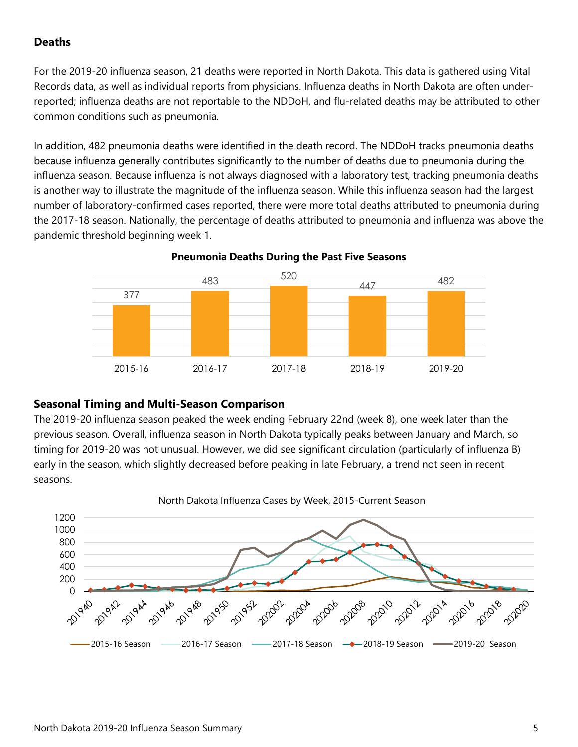# **Deaths**

For the 2019-20 influenza season, 21 deaths were reported in North Dakota. This data is gathered using Vital Records data, as well as individual reports from physicians. Influenza deaths in North Dakota are often underreported; influenza deaths are not reportable to the NDDoH, and flu-related deaths may be attributed to other common conditions such as pneumonia.

In addition, 482 pneumonia deaths were identified in the death record. The NDDoH tracks pneumonia deaths because influenza generally contributes significantly to the number of deaths due to pneumonia during the influenza season. Because influenza is not always diagnosed with a laboratory test, tracking pneumonia deaths is another way to illustrate the magnitude of the influenza season. While this influenza season had the largest number of laboratory-confirmed cases reported, there were more total deaths attributed to pneumonia during the 2017-18 season. Nationally, the percentage of deaths attributed to pneumonia and influenza was above the pandemic threshold beginning week 1.



#### **Pneumonia Deaths During the Past Five Seasons**

### **Seasonal Timing and Multi-Season Comparison**

The 2019-20 influenza season peaked the week ending February 22nd (week 8), one week later than the previous season. Overall, influenza season in North Dakota typically peaks between January and March, so timing for 2019-20 was not unusual. However, we did see significant circulation (particularly of influenza B) early in the season, which slightly decreased before peaking in late February, a trend not seen in recent seasons.

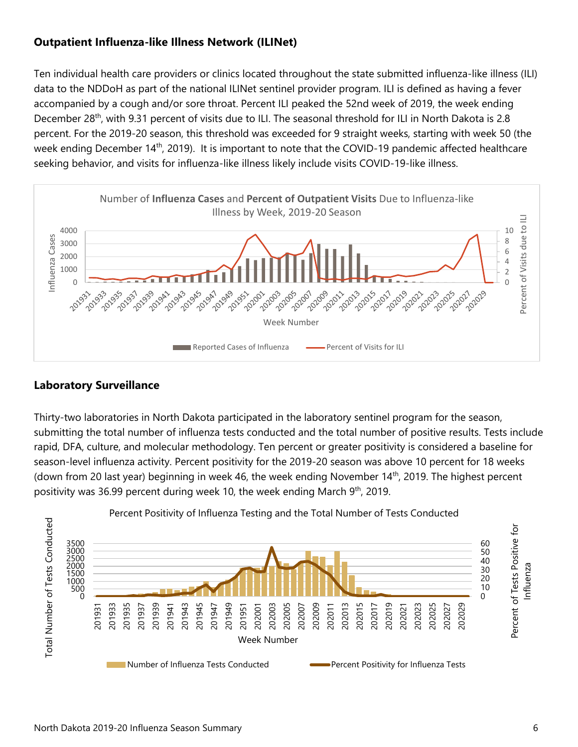# **Outpatient Influenza-like Illness Network (ILINet)**

Ten individual health care providers or clinics located throughout the state submitted influenza-like illness (ILI) data to the NDDoH as part of the national ILINet sentinel provider program. ILI is defined as having a fever accompanied by a cough and/or sore throat. Percent ILI peaked the 52nd week of 2019, the week ending December 28<sup>th</sup>, with 9.31 percent of visits due to ILI. The seasonal threshold for ILI in North Dakota is 2.8 percent. For the 2019-20 season, this threshold was exceeded for 9 straight weeks, starting with week 50 (the week ending December 14<sup>th</sup>, 2019). It is important to note that the COVID-19 pandemic affected healthcare seeking behavior, and visits for influenza-like illness likely include visits COVID-19-like illness.



# **Laboratory Surveillance**

Thirty-two laboratories in North Dakota participated in the laboratory sentinel program for the season, submitting the total number of influenza tests conducted and the total number of positive results. Tests include rapid, DFA, culture, and molecular methodology. Ten percent or greater positivity is considered a baseline for season-level influenza activity. Percent positivity for the 2019-20 season was above 10 percent for 18 weeks (down from 20 last year) beginning in week 46, the week ending November  $14<sup>th</sup>$ , 2019. The highest percent positivity was 36.99 percent during week 10, the week ending March 9<sup>th</sup>, 2019.